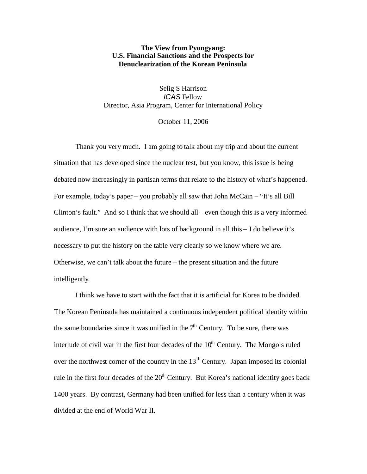## **The View from Pyongyang: U.S. Financial Sanctions and the Prospects for Denuclearization of the Korean Peninsula**

Selig S Harrison *ICAS* Fellow Director, Asia Program, Center for International Policy

October 11, 2006

Thank you very much. I am going to talk about my trip and about the current situation that has developed since the nuclear test, but you know, this issue is being debated now increasingly in partisan terms that relate to the history of what's happened. For example, today's paper – you probably all saw that John McCain – "It's all Bill Clinton's fault." And so I think that we should all – even though this is a very informed audience, I'm sure an audience with lots of background in all this – I do believe it's necessary to put the history on the table very clearly so we know where we are. Otherwise, we can't talk about the future – the present situation and the future intelligently.

I think we have to start with the fact that it is artificial for Korea to be divided. The Korean Peninsula has maintained a continuous independent political identity within the same boundaries since it was unified in the  $7<sup>th</sup>$  Century. To be sure, there was interlude of civil war in the first four decades of the  $10<sup>th</sup>$  Century. The Mongols ruled over the northwest corner of the country in the  $13<sup>th</sup>$  Century. Japan imposed its colonial rule in the first four decades of the  $20<sup>th</sup>$  Century. But Korea's national identity goes back 1400 years. By contrast, Germany had been unified for less than a century when it was divided at the end of World War II.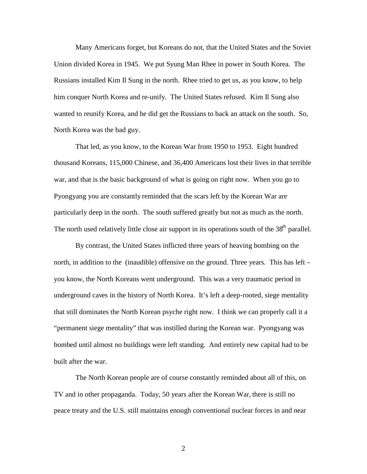Many Americans forget, but Koreans do not, that the United States and the Soviet Union divided Korea in 1945. We put Syung Man Rhee in power in South Korea. The Russians installed Kim Il Sung in the north. Rhee tried to get us, as you know, to help him conquer North Korea and re-unify. The United States refused. Kim Il Sung also wanted to reunify Korea, and he did get the Russians to back an attack on the south. So, North Korea was the bad guy.

That led, as you know, to the Korean War from 1950 to 1953. Eight hundred thousand Koreans, 115,000 Chinese, and 36,400 Americans lost their lives in that terrible war, and that is the basic background of what is going on right now. When you go to Pyongyang you are constantly reminded that the scars left by the Korean War are particularly deep in the north. The south suffered greatly but not as much as the north. The north used relatively little close air support in its operations south of the 38<sup>th</sup> parallel.

By contrast, the United States inflicted three years of heaving bombing on the north, in addition to the (inaudible) offensive on the ground. Three years. This has left – you know, the North Koreans went underground. This was a very traumatic period in underground caves in the history of North Korea. It's left a deep-rooted, siege mentality that still dominates the North Korean psyche right now. I think we can properly call it a "permanent siege mentality" that was instilled during the Korean war. Pyongyang was bombed until almost no buildings were left standing. And entirely new capital had to be built after the war.

The North Korean people are of course constantly reminded about all of this, on TV and in other propaganda. Today, 50 years after the Korean War, there is still no peace treaty and the U.S. still maintains enough conventional nuclear forces in and near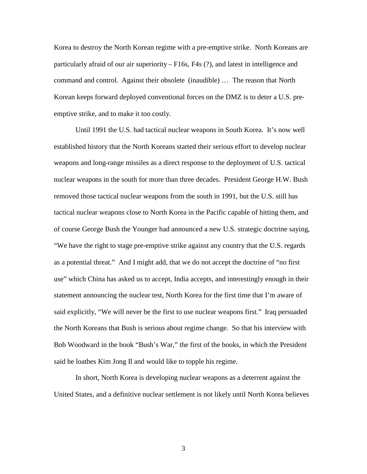Korea to destroy the North Korean regime with a pre-emptive strike. North Koreans are particularly afraid of our air superiority – F16s, F4s (?), and latest in intelligence and command and control. Against their obsolete (inaudible) … The reason that North Korean keeps forward deployed conventional forces on the DMZ is to deter a U.S. preemptive strike, and to make it too costly.

Until 1991 the U.S. had tactical nuclear weapons in South Korea. It's now well established history that the North Koreans started their serious effort to develop nuclear weapons and long-range missiles as a direct response to the deployment of U.S. tactical nuclear weapons in the south for more than three decades. President George H.W. Bush removed those tactical nuclear weapons from the south in 1991, but the U.S. still has tactical nuclear weapons close to North Korea in the Pacific capable of hitting them, and of course George Bush the Younger had announced a new U.S. strategic doctrine saying, "We have the right to stage pre-emptive strike against any country that the U.S. regards as a potential threat." And I might add, that we do not accept the doctrine of "no first use" which China has asked us to accept, India accepts, and interestingly enough in their statement announcing the nuclear test, North Korea for the first time that I'm aware of said explicitly, "We will never be the first to use nuclear weapons first." Iraq persuaded the North Koreans that Bush is serious about regime change. So that his interview with Bob Woodward in the book "Bush's War," the first of the books, in which the President said he loathes Kim Jong Il and would like to topple his regime.

In short, North Korea is developing nuclear weapons as a deterrent against the United States, and a definitive nuclear settlement is not likely until North Korea believes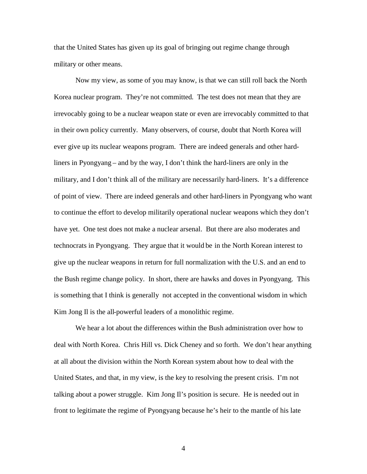that the United States has given up its goal of bringing out regime change through military or other means.

Now my view, as some of you may know, is that we can still roll back the North Korea nuclear program. They're not committed. The test does not mean that they are irrevocably going to be a nuclear weapon state or even are irrevocably committed to that in their own policy currently. Many observers, of course, doubt that North Korea will ever give up its nuclear weapons program. There are indeed generals and other hardliners in Pyongyang – and by the way, I don't think the hard-liners are only in the military, and I don't think all of the military are necessarily hard-liners. It's a difference of point of view. There are indeed generals and other hard-liners in Pyongyang who want to continue the effort to develop militarily operational nuclear weapons which they don't have yet. One test does not make a nuclear arsenal. But there are also moderates and technocrats in Pyongyang. They argue that it would be in the North Korean interest to give up the nuclear weapons in return for full normalization with the U.S. and an end to the Bush regime change policy. In short, there are hawks and doves in Pyongyang. This is something that I think is generally not accepted in the conventional wisdom in which Kim Jong Il is the all-powerful leaders of a monolithic regime.

We hear a lot about the differences within the Bush administration over how to deal with North Korea. Chris Hill vs. Dick Cheney and so forth. We don't hear anything at all about the division within the North Korean system about how to deal with the United States, and that, in my view, is the key to resolving the present crisis. I'm not talking about a power struggle. Kim Jong Il's position is secure. He is needed out in front to legitimate the regime of Pyongyang because he's heir to the mantle of his late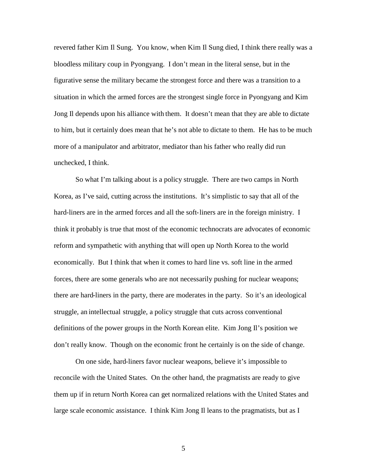revered father Kim Il Sung. You know, when Kim Il Sung died, I think there really was a bloodless military coup in Pyongyang. I don't mean in the literal sense, but in the figurative sense the military became the strongest force and there was a transition to a situation in which the armed forces are the strongest single force in Pyongyang and Kim Jong Il depends upon his alliance with them. It doesn't mean that they are able to dictate to him, but it certainly does mean that he's not able to dictate to them. He has to be much more of a manipulator and arbitrator, mediator than his father who really did run unchecked, I think.

So what I'm talking about is a policy struggle. There are two camps in North Korea, as I've said, cutting across the institutions. It's simplistic to say that all of the hard-liners are in the armed forces and all the soft-liners are in the foreign ministry. I think it probably is true that most of the economic technocrats are advocates of economic reform and sympathetic with anything that will open up North Korea to the world economically. But I think that when it comes to hard line vs. soft line in the armed forces, there are some generals who are not necessarily pushing for nuclear weapons; there are hard-liners in the party, there are moderates in the party. So it's an ideological struggle, an intellectual struggle, a policy struggle that cuts across conventional definitions of the power groups in the North Korean elite. Kim Jong Il's position we don't really know. Though on the economic front he certainly is on the side of change.

On one side, hard-liners favor nuclear weapons, believe it's impossible to reconcile with the United States. On the other hand, the pragmatists are ready to give them up if in return North Korea can get normalized relations with the United States and large scale economic assistance. I think Kim Jong Il leans to the pragmatists, but as I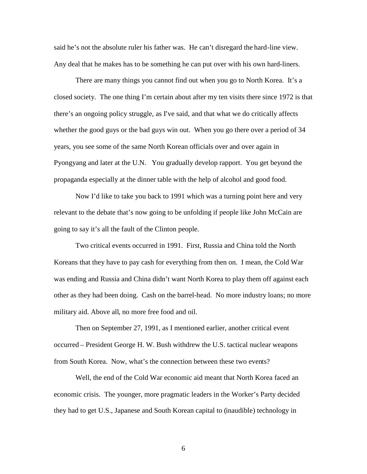said he's not the absolute ruler his father was. He can't disregard the hard-line view. Any deal that he makes has to be something he can put over with his own hard-liners.

There are many things you cannot find out when you go to North Korea. It's a closed society. The one thing I'm certain about after my ten visits there since 1972 is that there's an ongoing policy struggle, as I've said, and that what we do critically affects whether the good guys or the bad guys win out. When you go there over a period of 34 years, you see some of the same North Korean officials over and over again in Pyongyang and later at the U.N. You gradually develop rapport. You get beyond the propaganda especially at the dinner table with the help of alcohol and good food.

Now I'd like to take you back to 1991 which was a turning point here and very relevant to the debate that's now going to be unfolding if people like John McCain are going to say it's all the fault of the Clinton people.

Two critical events occurred in 1991. First, Russia and China told the North Koreans that they have to pay cash for everything from then on. I mean, the Cold War was ending and Russia and China didn't want North Korea to play them off against each other as they had been doing. Cash on the barrel-head. No more industry loans; no more military aid. Above all, no more free food and oil.

Then on September 27, 1991, as I mentioned earlier, another critical event occurred – President George H. W. Bush withdrew the U.S. tactical nuclear weapons from South Korea. Now, what's the connection between these two events?

Well, the end of the Cold War economic aid meant that North Korea faced an economic crisis. The younger, more pragmatic leaders in the Worker's Party decided they had to get U.S., Japanese and South Korean capital to (inaudible) technology in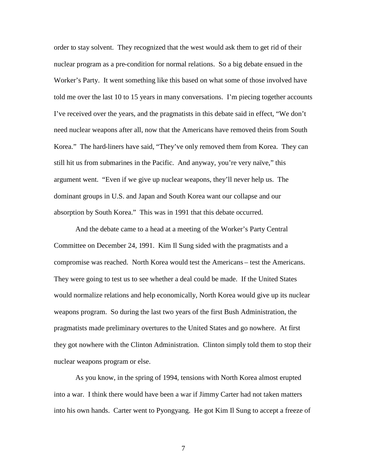order to stay solvent. They recognized that the west would ask them to get rid of their nuclear program as a pre-condition for normal relations. So a big debate ensued in the Worker's Party. It went something like this based on what some of those involved have told me over the last 10 to 15 years in many conversations. I'm piecing together accounts I've received over the years, and the pragmatists in this debate said in effect, "We don't need nuclear weapons after all, now that the Americans have removed theirs from South Korea." The hard-liners have said, "They've only removed them from Korea. They can still hit us from submarines in the Pacific. And anyway, you're very naïve," this argument went. "Even if we give up nuclear weapons, they'll never help us. The dominant groups in U.S. and Japan and South Korea want our collapse and our absorption by South Korea." This was in 1991 that this debate occurred.

And the debate came to a head at a meeting of the Worker's Party Central Committee on December 24, 1991. Kim Il Sung sided with the pragmatists and a compromise was reached. North Korea would test the Americans – test the Americans. They were going to test us to see whether a deal could be made. If the United States would normalize relations and help economically, North Korea would give up its nuclear weapons program. So during the last two years of the first Bush Administration, the pragmatists made preliminary overtures to the United States and go nowhere. At first they got nowhere with the Clinton Administration. Clinton simply told them to stop their nuclear weapons program or else.

As you know, in the spring of 1994, tensions with North Korea almost erupted into a war. I think there would have been a war if Jimmy Carter had not taken matters into his own hands. Carter went to Pyongyang. He got Kim Il Sung to accept a freeze of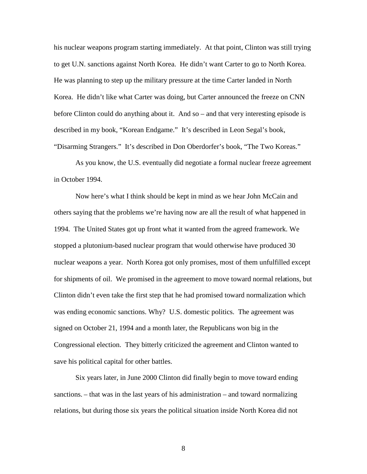his nuclear weapons program starting immediately. At that point, Clinton was still trying to get U.N. sanctions against North Korea. He didn't want Carter to go to North Korea. He was planning to step up the military pressure at the time Carter landed in North Korea. He didn't like what Carter was doing, but Carter announced the freeze on CNN before Clinton could do anything about it. And so – and that very interesting episode is described in my book, "Korean Endgame." It's described in Leon Segal's book, "Disarming Strangers." It's described in Don Oberdorfer's book, "The Two Koreas."

As you know, the U.S. eventually did negotiate a formal nuclear freeze agreement in October 1994.

Now here's what I think should be kept in mind as we hear John McCain and others saying that the problems we're having now are all the result of what happened in 1994. The United States got up front what it wanted from the agreed framework. We stopped a plutonium-based nuclear program that would otherwise have produced 30 nuclear weapons a year. North Korea got only promises, most of them unfulfilled except for shipments of oil. We promised in the agreement to move toward normal relations, but Clinton didn't even take the first step that he had promised toward normalization which was ending economic sanctions. Why? U.S. domestic politics. The agreement was signed on October 21, 1994 and a month later, the Republicans won big in the Congressional election. They bitterly criticized the agreement and Clinton wanted to save his political capital for other battles.

Six years later, in June 2000 Clinton did finally begin to move toward ending sanctions. – that was in the last years of his administration – and toward normalizing relations, but during those six years the political situation inside North Korea did not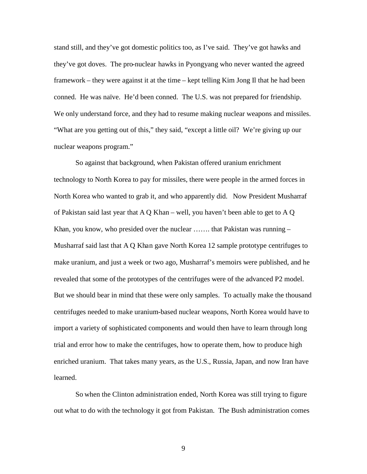stand still, and they've got domestic politics too, as I've said. They've got hawks and they've got doves. The pro-nuclear hawks in Pyongyang who never wanted the agreed framework – they were against it at the time – kept telling Kim Jong Il that he had been conned. He was naïve. He'd been conned. The U.S. was not prepared for friendship. We only understand force, and they had to resume making nuclear weapons and missiles. "What are you getting out of this," they said, "except a little oil? We're giving up our nuclear weapons program."

So against that background, when Pakistan offered uranium enrichment technology to North Korea to pay for missiles, there were people in the armed forces in North Korea who wanted to grab it, and who apparently did. Now President Musharraf of Pakistan said last year that  $A Q$  Khan – well, you haven't been able to get to  $A Q$ Khan, you know, who presided over the nuclear ……. that Pakistan was running – Musharraf said last that A Q Khan gave North Korea 12 sample prototype centrifuges to make uranium, and just a week or two ago, Musharraf's memoirs were published, and he revealed that some of the prototypes of the centrifuges were of the advanced P2 model. But we should bear in mind that these were only samples. To actually make the thousand centrifuges needed to make uranium-based nuclear weapons, North Korea would have to import a variety of sophisticated components and would then have to learn through long trial and error how to make the centrifuges, how to operate them, how to produce high enriched uranium. That takes many years, as the U.S., Russia, Japan, and now Iran have learned.

So when the Clinton administration ended, North Korea was still trying to figure out what to do with the technology it got from Pakistan. The Bush administration comes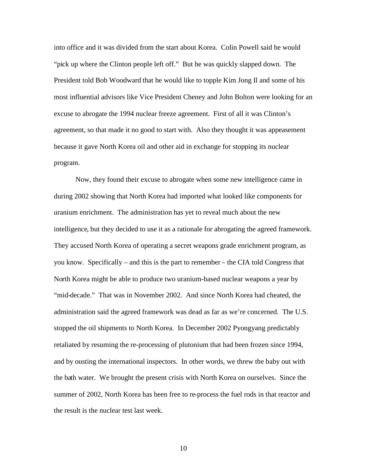into office and it was divided from the start about Korea. Colin Powell said he would "pick up where the Clinton people left off." But he was quickly slapped down. The President told Bob Woodward that he would like to topple Kim Jong Il and some of his most influential advisors like Vice President Cheney and John Bolton were looking for an excuse to abrogate the 1994 nuclear freeze agreement. First of all it was Clinton's agreement, so that made it no good to start with. Also they thought it was appeasement because it gave North Korea oil and other aid in exchange for stopping its nuclear program.

Now, they found their excuse to abrogate when some new intelligence came in during 2002 showing that North Korea had imported what looked like components for uranium enrichment. The administration has yet to reveal much about the new intelligence, but they decided to use it as a rationale for abrogating the agreed framework. They accused North Korea of operating a secret weapons grade enrichment program, as you know. Specifically – and this is the part to remember – the CIA told Congress that North Korea might be able to produce two uranium-based nuclear weapons a year by "mid-decade." That was in November 2002. And since North Korea had cheated, the administration said the agreed framework was dead as far as we're concerned. The U.S. stopped the oil shipments to North Korea. In December 2002 Pyongyang predictably retaliated by resuming the re-processing of plutonium that had been frozen since 1994, and by ousting the international inspectors. In other words, we threw the baby out with the bath water. We brought the present crisis with North Korea on ourselves. Since the summer of 2002, North Korea has been free to re-process the fuel rods in that reactor and the result is the nuclear test last week.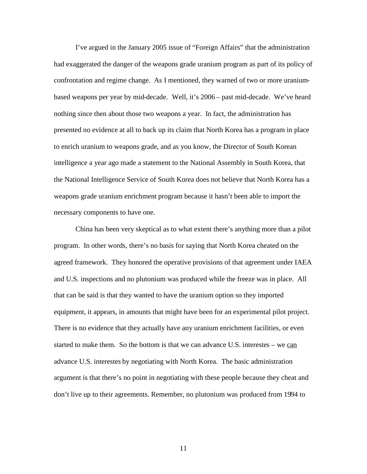I've argued in the January 2005 issue of "Foreign Affairs" that the administration had exaggerated the danger of the weapons grade uranium program as part of its policy of confrontation and regime change. As I mentioned, they warned of two or more uraniumbased weapons per year by mid-decade. Well, it's 2006 – past mid-decade. We've heard nothing since then about those two weapons a year. In fact, the administration has presented no evidence at all to back up its claim that North Korea has a program in place to enrich uranium to weapons grade, and as you know, the Director of South Korean intelligence a year ago made a statement to the National Assembly in South Korea, that the National Intelligence Service of South Korea does not believe that North Korea has a weapons grade uranium enrichment program because it hasn't been able to import the necessary components to have one.

China has been very skeptical as to what extent there's anything more than a pilot program. In other words, there's no basis for saying that North Korea cheated on the agreed framework. They honored the operative provisions of that agreement under IAEA and U.S. inspections and no plutonium was produced while the freeze was in place. All that can be said is that they wanted to have the uranium option so they imported equipment, it appears, in amounts that might have been for an experimental pilot project. There is no evidence that they actually have any uranium enrichment facilities, or even started to make them. So the bottom is that we can advance U.S. interestes – we can advance U.S. interestes by negotiating with North Korea. The basic administration argument is that there's no point in negotiating with these people because they cheat and don't live up to their agreements. Remember, no plutonium was produced from 1994 to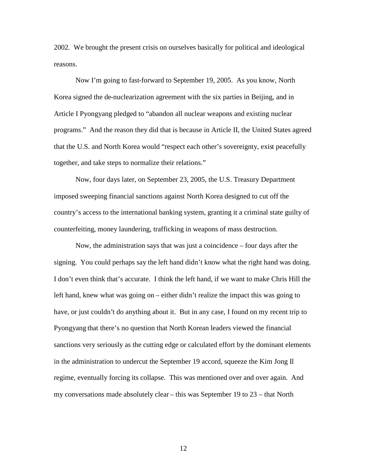2002. We brought the present crisis on ourselves basically for political and ideological reasons.

Now I'm going to fast-forward to September 19, 2005. As you know, North Korea signed the de-nuclearization agreement with the six parties in Beijing, and in Article I Pyongyang pledged to "abandon all nuclear weapons and existing nuclear programs." And the reason they did that is because in Article II, the United States agreed that the U.S. and North Korea would "respect each other's sovereignty, exist peacefully together, and take steps to normalize their relations."

Now, four days later, on September 23, 2005, the U.S. Treasury Department imposed sweeping financial sanctions against North Korea designed to cut off the country's access to the international banking system, granting it a criminal state guilty of counterfeiting, money laundering, trafficking in weapons of mass destruction.

Now, the administration says that was just a coincidence – four days after the signing. You could perhaps say the left hand didn't know what the right hand was doing. I don't even think that's accurate. I think the left hand, if we want to make Chris Hill the left hand, knew what was going on – either didn't realize the impact this was going to have, or just couldn't do anything about it. But in any case, I found on my recent trip to Pyongyang that there's no question that North Korean leaders viewed the financial sanctions very seriously as the cutting edge or calculated effort by the dominant elements in the administration to undercut the September 19 accord, squeeze the Kim Jong Il regime, eventually forcing its collapse. This was mentioned over and over again. And my conversations made absolutely clear – this was September 19 to 23 – that North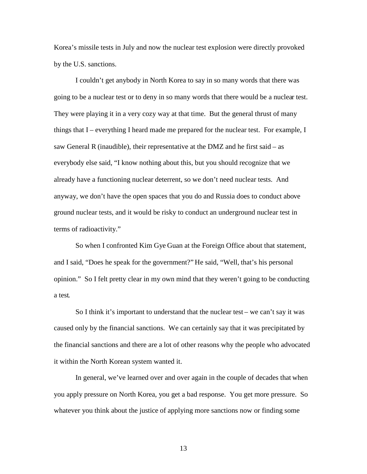Korea's missile tests in July and now the nuclear test explosion were directly provoked by the U.S. sanctions.

I couldn't get anybody in North Korea to say in so many words that there was going to be a nuclear test or to deny in so many words that there would be a nuclear test. They were playing it in a very cozy way at that time. But the general thrust of many things that I – everything I heard made me prepared for the nuclear test. For example, I saw General R (inaudible), their representative at the DMZ and he first said – as everybody else said, "I know nothing about this, but you should recognize that we already have a functioning nuclear deterrent, so we don't need nuclear tests. And anyway, we don't have the open spaces that you do and Russia does to conduct above ground nuclear tests, and it would be risky to conduct an underground nuclear test in terms of radioactivity."

So when I confronted Kim Gye Guan at the Foreign Office about that statement, and I said, "Does he speak for the government?" He said, "Well, that's his personal opinion." So I felt pretty clear in my own mind that they weren't going to be conducting a test.

So I think it's important to understand that the nuclear test – we can't say it was caused only by the financial sanctions. We can certainly say that it was precipitated by the financial sanctions and there are a lot of other reasons why the people who advocated it within the North Korean system wanted it.

In general, we've learned over and over again in the couple of decades that when you apply pressure on North Korea, you get a bad response. You get more pressure. So whatever you think about the justice of applying more sanctions now or finding some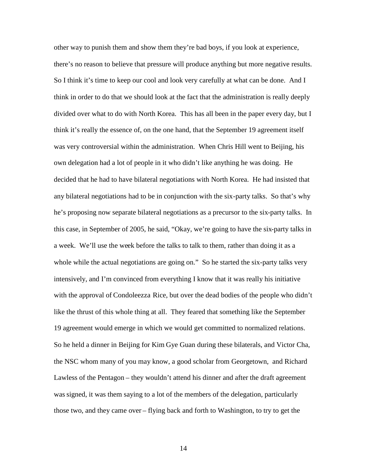other way to punish them and show them they're bad boys, if you look at experience, there's no reason to believe that pressure will produce anything but more negative results. So I think it's time to keep our cool and look very carefully at what can be done. And I think in order to do that we should look at the fact that the administration is really deeply divided over what to do with North Korea. This has all been in the paper every day, but I think it's really the essence of, on the one hand, that the September 19 agreement itself was very controversial within the administration. When Chris Hill went to Beijing, his own delegation had a lot of people in it who didn't like anything he was doing. He decided that he had to have bilateral negotiations with North Korea. He had insisted that any bilateral negotiations had to be in conjunction with the six-party talks. So that's why he's proposing now separate bilateral negotiations as a precursor to the six-party talks. In this case, in September of 2005, he said, "Okay, we're going to have the six-party talks in a week. We'll use the week before the talks to talk to them, rather than doing it as a whole while the actual negotiations are going on." So he started the six-party talks very intensively, and I'm convinced from everything I know that it was really his initiative with the approval of Condoleezza Rice, but over the dead bodies of the people who didn't like the thrust of this whole thing at all. They feared that something like the September 19 agreement would emerge in which we would get committed to normalized relations. So he held a dinner in Beijing for Kim Gye Guan during these bilaterals, and Victor Cha, the NSC whom many of you may know, a good scholar from Georgetown, and Richard Lawless of the Pentagon – they wouldn't attend his dinner and after the draft agreement was signed, it was them saying to a lot of the members of the delegation, particularly those two, and they came over – flying back and forth to Washington, to try to get the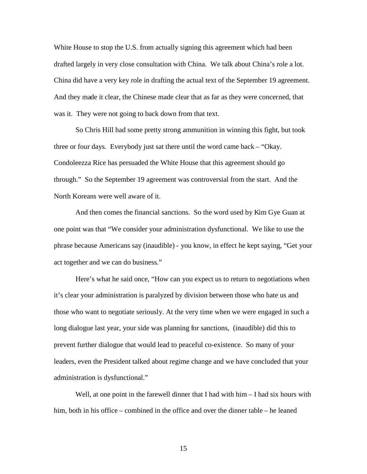White House to stop the U.S. from actually signing this agreement which had been drafted largely in very close consultation with China. We talk about China's role a lot. China did have a very key role in drafting the actual text of the September 19 agreement. And they made it clear, the Chinese made clear that as far as they were concerned, that was it. They were not going to back down from that text.

So Chris Hill had some pretty strong ammunition in winning this fight, but took three or four days. Everybody just sat there until the word came back – "Okay. Condoleezza Rice has persuaded the White House that this agreement should go through." So the September 19 agreement was controversial from the start. And the North Koreans were well aware of it.

And then comes the financial sanctions. So the word used by Kim Gye Guan at one point was that "We consider your administration dysfunctional. We like to use the phrase because Americans say (inaudible) - you know, in effect he kept saying, "Get your act together and we can do business."

Here's what he said once, "How can you expect us to return to negotiations when it's clear your administration is paralyzed by division between those who hate us and those who want to negotiate seriously. At the very time when we were engaged in such a long dialogue last year, your side was planning for sanctions, (inaudible) did this to prevent further dialogue that would lead to peaceful co-existence. So many of your leaders, even the President talked about regime change and we have concluded that your administration is dysfunctional."

Well, at one point in the farewell dinner that I had with  $\lim - I$  had six hours with him, both in his office – combined in the office and over the dinner table – he leaned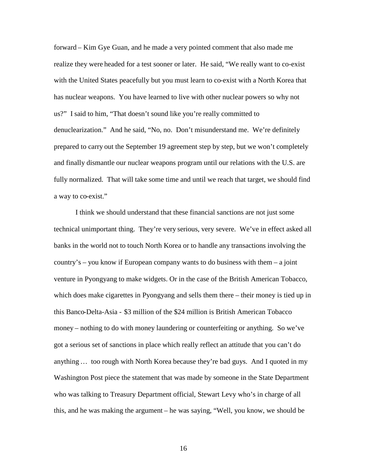forward – Kim Gye Guan, and he made a very pointed comment that also made me realize they were headed for a test sooner or later. He said, "We really want to co-exist with the United States peacefully but you must learn to co-exist with a North Korea that has nuclear weapons. You have learned to live with other nuclear powers so why not us?" I said to him, "That doesn't sound like you're really committed to denuclearization." And he said, "No, no. Don't misunderstand me. We're definitely prepared to carry out the September 19 agreement step by step, but we won't completely and finally dismantle our nuclear weapons program until our relations with the U.S. are fully normalized. That will take some time and until we reach that target, we should find a way to co-exist."

I think we should understand that these financial sanctions are not just some technical unimportant thing. They're very serious, very severe. We've in effect asked all banks in the world not to touch North Korea or to handle any transactions involving the country's – you know if European company wants to do business with them – a joint venture in Pyongyang to make widgets. Or in the case of the British American Tobacco, which does make cigarettes in Pyongyang and sells them there – their money is tied up in this Banco-Delta-Asia - \$3 million of the \$24 million is British American Tobacco money – nothing to do with money laundering or counterfeiting or anything. So we've got a serious set of sanctions in place which really reflect an attitude that you can't do anything… too rough with North Korea because they're bad guys. And I quoted in my Washington Post piece the statement that was made by someone in the State Department who was talking to Treasury Department official, Stewart Levy who's in charge of all this, and he was making the argument – he was saying, "Well, you know, we should be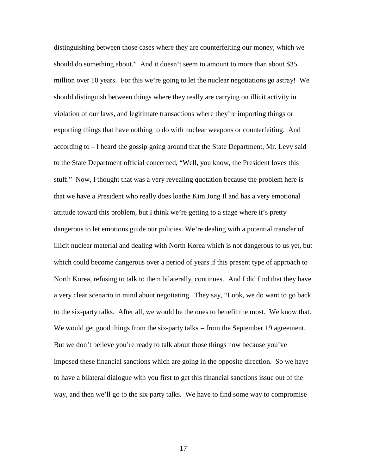distinguishing between those cases where they are counterfeiting our money, which we should do something about." And it doesn't seem to amount to more than about \$35 million over 10 years. For this we're going to let the nuclear negotiations go astray! We should distinguish between things where they really are carrying on illicit activity in violation of our laws, and legitimate transactions where they're importing things or exporting things that have nothing to do with nuclear weapons or counterfeiting. And according to – I heard the gossip going around that the State Department, Mr. Levy said to the State Department official concerned, "Well, you know, the President loves this stuff." Now, I thought that was a very revealing quotation because the problem here is that we have a President who really does loathe Kim Jong Il and has a very emotional attitude toward this problem, but I think we're getting to a stage where it's pretty dangerous to let emotions guide our policies. We're dealing with a potential transfer of illicit nuclear material and dealing with North Korea which is not dangerous to us yet, but which could become dangerous over a period of years if this present type of approach to North Korea, refusing to talk to them bilaterally, continues. And I did find that they have a very clear scenario in mind about negotiating. They say, "Look, we do want to go back to the six-party talks. After all, we would be the ones to benefit the most. We know that. We would get good things from the six-party talks – from the September 19 agreement. But we don't believe you're ready to talk about those things now because you've imposed these financial sanctions which are going in the opposite direction. So we have to have a bilateral dialogue with you first to get this financial sanctions issue out of the way, and then we'll go to the six-party talks. We have to find some way to compromise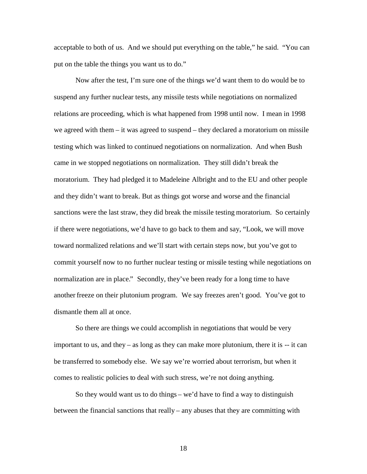acceptable to both of us. And we should put everything on the table," he said. "You can put on the table the things you want us to do."

Now after the test, I'm sure one of the things we'd want them to do would be to suspend any further nuclear tests, any missile tests while negotiations on normalized relations are proceeding, which is what happened from 1998 until now. I mean in 1998 we agreed with them – it was agreed to suspend – they declared a moratorium on missile testing which was linked to continued negotiations on normalization. And when Bush came in we stopped negotiations on normalization. They still didn't break the moratorium. They had pledged it to Madeleine Albright and to the EU and other people and they didn't want to break. But as things got worse and worse and the financial sanctions were the last straw, they did break the missile testing moratorium. So certainly if there were negotiations, we'd have to go back to them and say, "Look, we will move toward normalized relations and we'll start with certain steps now, but you've got to commit yourself now to no further nuclear testing or missile testing while negotiations on normalization are in place." Secondly, they've been ready for a long time to have another freeze on their plutonium program. We say freezes aren't good. You've got to dismantle them all at once.

So there are things we could accomplish in negotiations that would be very important to us, and they  $-$  as long as they can make more plutonium, there it is  $-$  it can be transferred to somebody else. We say we're worried about terrorism, but when it comes to realistic policies to deal with such stress, we're not doing anything.

So they would want us to do things – we'd have to find a way to distinguish between the financial sanctions that really – any abuses that they are committing with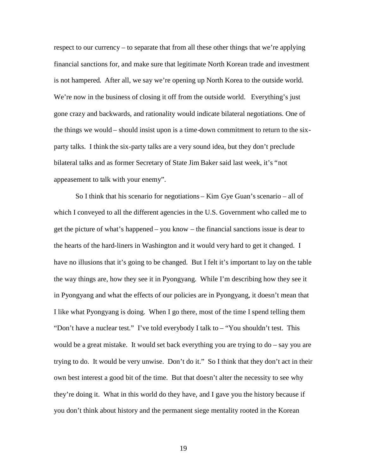respect to our currency – to separate that from all these other things that we're applying financial sanctions for, and make sure that legitimate North Korean trade and investment is not hampered. After all, we say we're opening up North Korea to the outside world. We're now in the business of closing it off from the outside world. Everything's just gone crazy and backwards, and rationality would indicate bilateral negotiations. One of the things we would – should insist upon is a time-down commitment to return to the sixparty talks. I think the six-party talks are a very sound idea, but they don't preclude bilateral talks and as former Secretary of State Jim Baker said last week, it's "not appeasement to talk with your enemy".

So I think that his scenario for negotiations – Kim Gye Guan's scenario – all of which I conveyed to all the different agencies in the U.S. Government who called me to get the picture of what's happened – you know – the financial sanctions issue is dear to the hearts of the hard-liners in Washington and it would very hard to get it changed. I have no illusions that it's going to be changed. But I felt it's important to lay on the table the way things are, how they see it in Pyongyang. While I'm describing how they see it in Pyongyang and what the effects of our policies are in Pyongyang, it doesn't mean that I like what Pyongyang is doing. When I go there, most of the time I spend telling them "Don't have a nuclear test." I've told everybody I talk to – "You shouldn't test. This would be a great mistake. It would set back everything you are trying to do – say you are trying to do. It would be very unwise. Don't do it." So I think that they don't act in their own best interest a good bit of the time. But that doesn't alter the necessity to see why they're doing it. What in this world do they have, and I gave you the history because if you don't think about history and the permanent siege mentality rooted in the Korean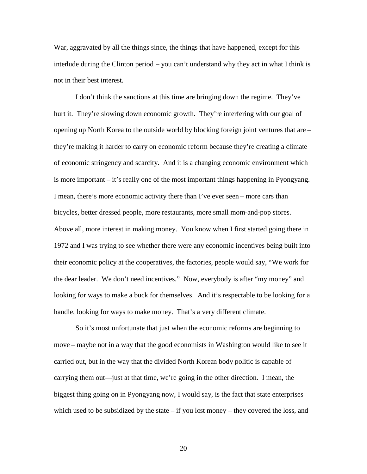War, aggravated by all the things since, the things that have happened, except for this interlude during the Clinton period – you can't understand why they act in what I think is not in their best interest.

I don't think the sanctions at this time are bringing down the regime. They've hurt it. They're slowing down economic growth. They're interfering with our goal of opening up North Korea to the outside world by blocking foreign joint ventures that are – they're making it harder to carry on economic reform because they're creating a climate of economic stringency and scarcity. And it is a changing economic environment which is more important – it's really one of the most important things happening in Pyongyang. I mean, there's more economic activity there than I've ever seen – more cars than bicycles, better dressed people, more restaurants, more small mom-and-pop stores. Above all, more interest in making money. You know when I first started going there in 1972 and I was trying to see whether there were any economic incentives being built into their economic policy at the cooperatives, the factories, people would say, "We work for the dear leader. We don't need incentives." Now, everybody is after "my money" and looking for ways to make a buck for themselves. And it's respectable to be looking for a handle, looking for ways to make money. That's a very different climate.

So it's most unfortunate that just when the economic reforms are beginning to move – maybe not in a way that the good economists in Washington would like to see it carried out, but in the way that the divided North Korean body politic is capable of carrying them out—just at that time, we're going in the other direction. I mean, the biggest thing going on in Pyongyang now, I would say, is the fact that state enterprises which used to be subsidized by the state  $-$  if you lost money  $-$  they covered the loss, and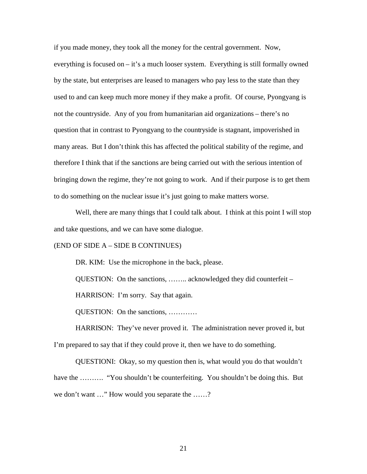if you made money, they took all the money for the central government. Now, everything is focused on – it's a much looser system. Everything is still formally owned by the state, but enterprises are leased to managers who pay less to the state than they used to and can keep much more money if they make a profit. Of course, Pyongyang is not the countryside. Any of you from humanitarian aid organizations – there's no question that in contrast to Pyongyang to the countryside is stagnant, impoverished in many areas. But I don't think this has affected the political stability of the regime, and therefore I think that if the sanctions are being carried out with the serious intention of bringing down the regime, they're not going to work. And if their purpose is to get them to do something on the nuclear issue it's just going to make matters worse.

Well, there are many things that I could talk about. I think at this point I will stop and take questions, and we can have some dialogue.

#### (END OF SIDE A – SIDE B CONTINUES)

DR. KIM: Use the microphone in the back, please.

QUESTION: On the sanctions, …….. acknowledged they did counterfeit –

HARRISON: I'm sorry. Say that again.

QUESTION: On the sanctions, …………

HARRISON: They've never proved it. The administration never proved it, but I'm prepared to say that if they could prove it, then we have to do something.

QUESTIONI: Okay, so my question then is, what would you do that wouldn't have the ………. "You shouldn't be counterfeiting. You shouldn't be doing this. But we don't want …" How would you separate the ……?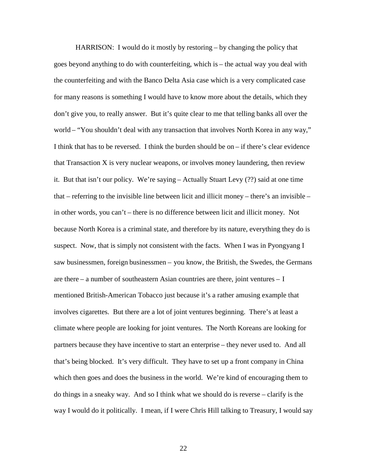HARRISON: I would do it mostly by restoring – by changing the policy that goes beyond anything to do with counterfeiting, which is – the actual way you deal with the counterfeiting and with the Banco Delta Asia case which is a very complicated case for many reasons is something I would have to know more about the details, which they don't give you, to really answer. But it's quite clear to me that telling banks all over the world – "You shouldn't deal with any transaction that involves North Korea in any way," I think that has to be reversed. I think the burden should be on – if there's clear evidence that Transaction X is very nuclear weapons, or involves money laundering, then review it. But that isn't our policy. We're saying – Actually Stuart Levy (??) said at one time that – referring to the invisible line between licit and illicit money – there's an invisible – in other words, you can't – there is no difference between licit and illicit money. Not because North Korea is a criminal state, and therefore by its nature, everything they do is suspect. Now, that is simply not consistent with the facts. When I was in Pyongyang I saw businessmen, foreign businessmen – you know, the British, the Swedes, the Germans are there – a number of southeastern Asian countries are there, joint ventures – I mentioned British-American Tobacco just because it's a rather amusing example that involves cigarettes. But there are a lot of joint ventures beginning. There's at least a climate where people are looking for joint ventures. The North Koreans are looking for partners because they have incentive to start an enterprise – they never used to. And all that's being blocked. It's very difficult. They have to set up a front company in China which then goes and does the business in the world. We're kind of encouraging them to do things in a sneaky way. And so I think what we should do is reverse – clarify is the way I would do it politically. I mean, if I were Chris Hill talking to Treasury, I would say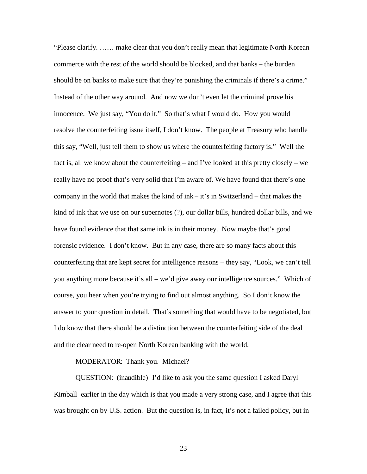"Please clarify. …… make clear that you don't really mean that legitimate North Korean commerce with the rest of the world should be blocked, and that banks – the burden should be on banks to make sure that they're punishing the criminals if there's a crime." Instead of the other way around. And now we don't even let the criminal prove his innocence. We just say, "You do it." So that's what I would do. How you would resolve the counterfeiting issue itself, I don't know. The people at Treasury who handle this say, "Well, just tell them to show us where the counterfeiting factory is." Well the fact is, all we know about the counterfeiting – and I've looked at this pretty closely – we really have no proof that's very solid that I'm aware of. We have found that there's one company in the world that makes the kind of  $ink - it$ 's in Switzerland – that makes the kind of ink that we use on our supernotes (?), our dollar bills, hundred dollar bills, and we have found evidence that that same ink is in their money. Now maybe that's good forensic evidence. I don't know. But in any case, there are so many facts about this counterfeiting that are kept secret for intelligence reasons – they say, "Look, we can't tell you anything more because it's all – we'd give away our intelligence sources." Which of course, you hear when you're trying to find out almost anything. So I don't know the answer to your question in detail. That's something that would have to be negotiated, but I do know that there should be a distinction between the counterfeiting side of the deal and the clear need to re-open North Korean banking with the world.

### MODERATOR: Thank you. Michael?

QUESTION: (inaudible) I'd like to ask you the same question I asked Daryl Kimball earlier in the day which is that you made a very strong case, and I agree that this was brought on by U.S. action. But the question is, in fact, it's not a failed policy, but in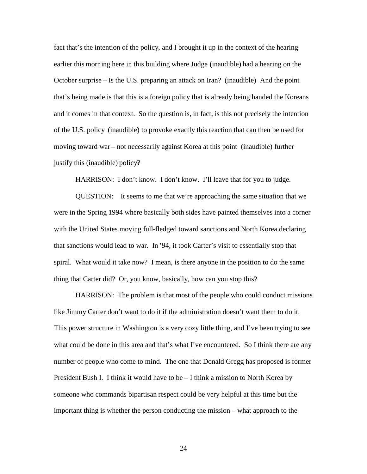fact that's the intention of the policy, and I brought it up in the context of the hearing earlier this morning here in this building where Judge (inaudible) had a hearing on the October surprise – Is the U.S. preparing an attack on Iran? (inaudible) And the point that's being made is that this is a foreign policy that is already being handed the Koreans and it comes in that context. So the question is, in fact, is this not precisely the intention of the U.S. policy (inaudible) to provoke exactly this reaction that can then be used for moving toward war – not necessarily against Korea at this point (inaudible) further justify this (inaudible) policy?

HARRISON: I don't know. I don't know. I'll leave that for you to judge.

QUESTION: It seems to me that we're approaching the same situation that we were in the Spring 1994 where basically both sides have painted themselves into a corner with the United States moving full-fledged toward sanctions and North Korea declaring that sanctions would lead to war. In '94, it took Carter's visit to essentially stop that spiral. What would it take now? I mean, is there anyone in the position to do the same thing that Carter did? Or, you know, basically, how can you stop this?

HARRISON: The problem is that most of the people who could conduct missions like Jimmy Carter don't want to do it if the administration doesn't want them to do it. This power structure in Washington is a very cozy little thing, and I've been trying to see what could be done in this area and that's what I've encountered. So I think there are any number of people who come to mind. The one that Donald Gregg has proposed is former President Bush I. I think it would have to be – I think a mission to North Korea by someone who commands bipartisan respect could be very helpful at this time but the important thing is whether the person conducting the mission – what approach to the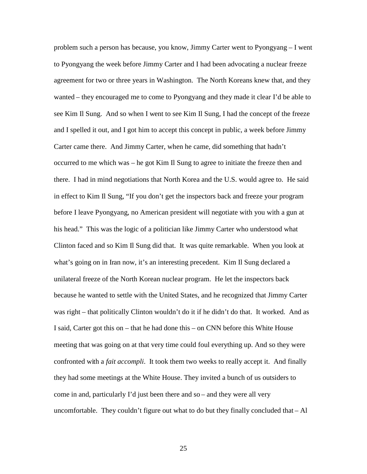problem such a person has because, you know, Jimmy Carter went to Pyongyang – I went to Pyongyang the week before Jimmy Carter and I had been advocating a nuclear freeze agreement for two or three years in Washington. The North Koreans knew that, and they wanted – they encouraged me to come to Pyongyang and they made it clear I'd be able to see Kim Il Sung. And so when I went to see Kim Il Sung, I had the concept of the freeze and I spelled it out, and I got him to accept this concept in public, a week before Jimmy Carter came there. And Jimmy Carter, when he came, did something that hadn't occurred to me which was – he got Kim Il Sung to agree to initiate the freeze then and there. I had in mind negotiations that North Korea and the U.S. would agree to. He said in effect to Kim Il Sung, "If you don't get the inspectors back and freeze your program before I leave Pyongyang, no American president will negotiate with you with a gun at his head." This was the logic of a politician like Jimmy Carter who understood what Clinton faced and so Kim Il Sung did that. It was quite remarkable. When you look at what's going on in Iran now, it's an interesting precedent. Kim Il Sung declared a unilateral freeze of the North Korean nuclear program. He let the inspectors back because he wanted to settle with the United States, and he recognized that Jimmy Carter was right – that politically Clinton wouldn't do it if he didn't do that. It worked. And as I said, Carter got this on – that he had done this – on CNN before this White House meeting that was going on at that very time could foul everything up. And so they were confronted with a *fait accompli*. It took them two weeks to really accept it. And finally they had some meetings at the White House. They invited a bunch of us outsiders to come in and, particularly I'd just been there and so – and they were all very uncomfortable. They couldn't figure out what to do but they finally concluded that  $-$  Al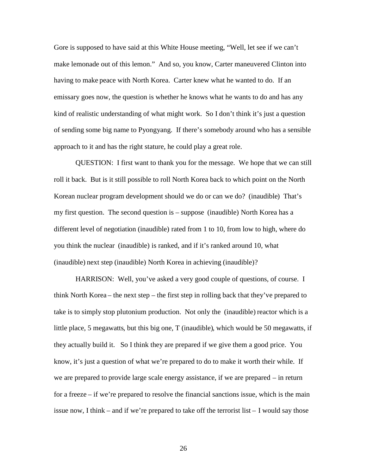Gore is supposed to have said at this White House meeting, "Well, let see if we can't make lemonade out of this lemon." And so, you know, Carter maneuvered Clinton into having to make peace with North Korea. Carter knew what he wanted to do. If an emissary goes now, the question is whether he knows what he wants to do and has any kind of realistic understanding of what might work. So I don't think it's just a question of sending some big name to Pyongyang. If there's somebody around who has a sensible approach to it and has the right stature, he could play a great role.

QUESTION: I first want to thank you for the message. We hope that we can still roll it back. But is it still possible to roll North Korea back to which point on the North Korean nuclear program development should we do or can we do? (inaudible) That's my first question. The second question is – suppose (inaudible) North Korea has a different level of negotiation (inaudible) rated from 1 to 10, from low to high, where do you think the nuclear (inaudible) is ranked, and if it's ranked around 10, what (inaudible) next step (inaudible) North Korea in achieving (inaudible)?

HARRISON: Well, you've asked a very good couple of questions, of course. I think North Korea – the next step – the first step in rolling back that they've prepared to take is to simply stop plutonium production. Not only the (inaudible) reactor which is a little place, 5 megawatts, but this big one, T (inaudible), which would be 50 megawatts, if they actually build it. So I think they are prepared if we give them a good price. You know, it's just a question of what we're prepared to do to make it worth their while. If we are prepared to provide large scale energy assistance, if we are prepared – in return for a freeze – if we're prepared to resolve the financial sanctions issue, which is the main issue now, I think – and if we're prepared to take off the terrorist list – I would say those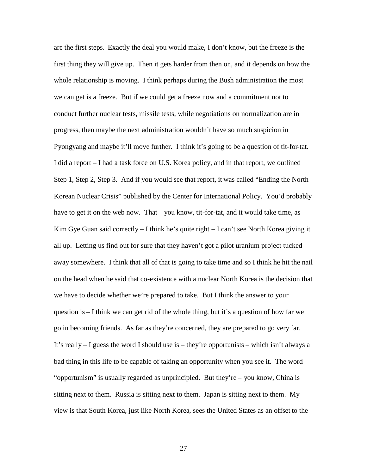are the first steps. Exactly the deal you would make, I don't know, but the freeze is the first thing they will give up. Then it gets harder from then on, and it depends on how the whole relationship is moving. I think perhaps during the Bush administration the most we can get is a freeze. But if we could get a freeze now and a commitment not to conduct further nuclear tests, missile tests, while negotiations on normalization are in progress, then maybe the next administration wouldn't have so much suspicion in Pyongyang and maybe it'll move further. I think it's going to be a question of tit-for-tat. I did a report – I had a task force on U.S. Korea policy, and in that report, we outlined Step 1, Step 2, Step 3. And if you would see that report, it was called "Ending the North Korean Nuclear Crisis" published by the Center for International Policy. You'd probably have to get it on the web now. That – you know, tit-for-tat, and it would take time, as Kim Gye Guan said correctly – I think he's quite right – I can't see North Korea giving it all up. Letting us find out for sure that they haven't got a pilot uranium project tucked away somewhere. I think that all of that is going to take time and so I think he hit the nail on the head when he said that co-existence with a nuclear North Korea is the decision that we have to decide whether we're prepared to take. But I think the answer to your question is – I think we can get rid of the whole thing, but it's a question of how far we go in becoming friends. As far as they're concerned, they are prepared to go very far. It's really – I guess the word I should use is – they're opportunists – which isn't always a bad thing in this life to be capable of taking an opportunity when you see it. The word "opportunism" is usually regarded as unprincipled. But they're – you know, China is sitting next to them. Russia is sitting next to them. Japan is sitting next to them. My view is that South Korea, just like North Korea, sees the United States as an offset to the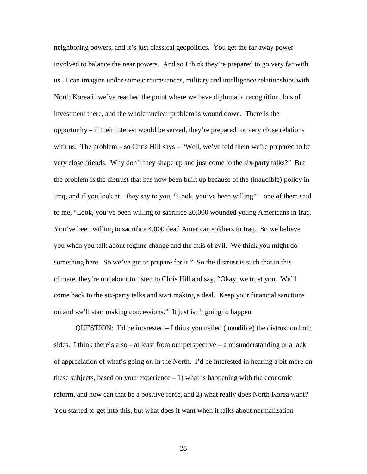neighboring powers, and it's just classical geopolitics. You get the far away power involved to balance the near powers. And so I think they're prepared to go very far with us. I can imagine under some circumstances, military and intelligence relationships with North Korea if we've reached the point where we have diplomatic recognition, lots of investment there, and the whole nuclear problem is wound down. There is the opportunity – if their interest would be served, they're prepared for very close relations with us. The problem – so Chris Hill says – "Well, we've told them we're prepared to be very close friends. Why don't they shape up and just come to the six-party talks?" But the problem is the distrust that has now been built up because of the (inaudible) policy in Iraq, and if you look at – they say to you, "Look, you've been willing" – one of them said to me, "Look, you've been willing to sacrifice 20,000 wounded young Americans in Iraq. You've been willing to sacrifice 4,000 dead American soldiers in Iraq. So we believe you when you talk about regime change and the axis of evil. We think you might do something here. So we've got to prepare for it." So the distrust is such that in this climate, they're not about to listen to Chris Hill and say, "Okay, we trust you. We'll come back to the six-party talks and start making a deal. Keep your financial sanctions on and we'll start making concessions." It just isn't going to happen.

QUESTION: I'd be interested – I think you nailed (inaudible) the distrust on both sides. I think there's also – at least from our perspective – a misunderstanding or a lack of appreciation of what's going on in the North. I'd be interested in hearing a bit more on these subjects, based on your experience  $-1$ ) what is happening with the economic reform, and how can that be a positive force, and 2) what really does North Korea want? You started to get into this, but what does it want when it talks about normalization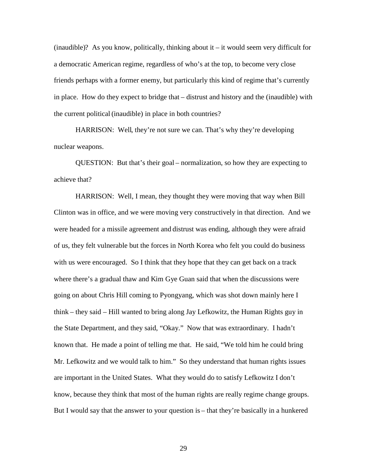$(inaudible)$ ? As you know, politically, thinking about it – it would seem very difficult for a democratic American regime, regardless of who's at the top, to become very close friends perhaps with a former enemy, but particularly this kind of regime that's currently in place. How do they expect to bridge that – distrust and history and the (inaudible) with the current political (inaudible) in place in both countries?

HARRISON: Well, they're not sure we can. That's why they're developing nuclear weapons.

QUESTION: But that's their goal – normalization, so how they are expecting to achieve that?

HARRISON: Well, I mean, they thought they were moving that way when Bill Clinton was in office, and we were moving very constructively in that direction. And we were headed for a missile agreement and distrust was ending, although they were afraid of us, they felt vulnerable but the forces in North Korea who felt you could do business with us were encouraged. So I think that they hope that they can get back on a track where there's a gradual thaw and Kim Gye Guan said that when the discussions were going on about Chris Hill coming to Pyongyang, which was shot down mainly here I think – they said – Hill wanted to bring along Jay Lefkowitz, the Human Rights guy in the State Department, and they said, "Okay." Now that was extraordinary. I hadn't known that. He made a point of telling me that. He said, "We told him he could bring Mr. Lefkowitz and we would talk to him." So they understand that human rights issues are important in the United States. What they would do to satisfy Lefkowitz I don't know, because they think that most of the human rights are really regime change groups. But I would say that the answer to your question is – that they're basically in a hunkered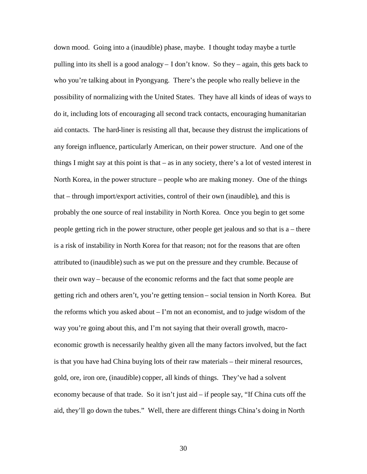down mood. Going into a (inaudible) phase, maybe. I thought today maybe a turtle pulling into its shell is a good analogy – I don't know. So they – again, this gets back to who you're talking about in Pyongyang. There's the people who really believe in the possibility of normalizing with the United States. They have all kinds of ideas of ways to do it, including lots of encouraging all second track contacts, encouraging humanitarian aid contacts. The hard-liner is resisting all that, because they distrust the implications of any foreign influence, particularly American, on their power structure. And one of the things I might say at this point is that – as in any society, there's a lot of vested interest in North Korea, in the power structure – people who are making money. One of the things that – through import/export activities, control of their own (inaudible), and this is probably the one source of real instability in North Korea. Once you begin to get some people getting rich in the power structure, other people get jealous and so that is a – there is a risk of instability in North Korea for that reason; not for the reasons that are often attributed to (inaudible) such as we put on the pressure and they crumble. Because of their own way – because of the economic reforms and the fact that some people are getting rich and others aren't, you're getting tension – social tension in North Korea. But the reforms which you asked about – I'm not an economist, and to judge wisdom of the way you're going about this, and I'm not saying that their overall growth, macroeconomic growth is necessarily healthy given all the many factors involved, but the fact is that you have had China buying lots of their raw materials – their mineral resources, gold, ore, iron ore, (inaudible) copper, all kinds of things. They've had a solvent economy because of that trade. So it isn't just aid – if people say, "If China cuts off the aid, they'll go down the tubes." Well, there are different things China's doing in North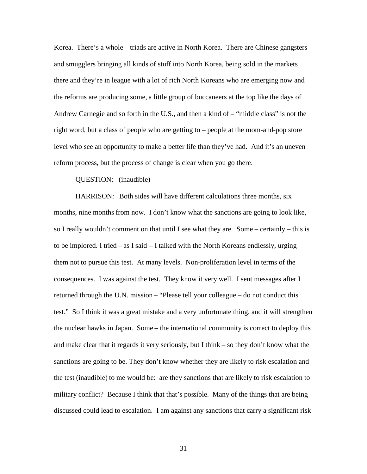Korea. There's a whole – triads are active in North Korea. There are Chinese gangsters and smugglers bringing all kinds of stuff into North Korea, being sold in the markets there and they're in league with a lot of rich North Koreans who are emerging now and the reforms are producing some, a little group of buccaneers at the top like the days of Andrew Carnegie and so forth in the U.S., and then a kind of – "middle class" is not the right word, but a class of people who are getting to – people at the mom-and-pop store level who see an opportunity to make a better life than they've had. And it's an uneven reform process, but the process of change is clear when you go there.

## QUESTION: (inaudible)

HARRISON: Both sides will have different calculations three months, six months, nine months from now. I don't know what the sanctions are going to look like, so I really wouldn't comment on that until I see what they are. Some – certainly – this is to be implored. I tried – as I said – I talked with the North Koreans endlessly, urging them not to pursue this test. At many levels. Non-proliferation level in terms of the consequences. I was against the test. They know it very well. I sent messages after I returned through the U.N. mission – "Please tell your colleague – do not conduct this test." So I think it was a great mistake and a very unfortunate thing, and it will strengthen the nuclear hawks in Japan. Some – the international community is correct to deploy this and make clear that it regards it very seriously, but I think – so they don't know what the sanctions are going to be. They don't know whether they are likely to risk escalation and the test (inaudible) to me would be: are they sanctions that are likely to risk escalation to military conflict? Because I think that that's possible. Many of the things that are being discussed could lead to escalation. I am against any sanctions that carry a significant risk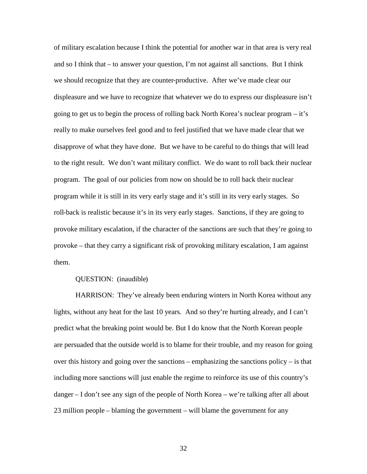of military escalation because I think the potential for another war in that area is very real and so I think that  $-$  to answer your question, I'm not against all sanctions. But I think we should recognize that they are counter-productive. After we've made clear our displeasure and we have to recognize that whatever we do to express our displeasure isn't going to get us to begin the process of rolling back North Korea's nuclear program – it's really to make ourselves feel good and to feel justified that we have made clear that we disapprove of what they have done. But we have to be careful to do things that will lead to the right result. We don't want military conflict. We do want to roll back their nuclear program. The goal of our policies from now on should be to roll back their nuclear program while it is still in its very early stage and it's still in its very early stages. So roll-back is realistic because it's in its very early stages. Sanctions, if they are going to provoke military escalation, if the character of the sanctions are such that they're going to provoke – that they carry a significant risk of provoking military escalation, I am against them.

### QUESTION: (inaudible)

HARRISON: They've already been enduring winters in North Korea without any lights, without any heat for the last 10 years. And so they're hurting already, and I can't predict what the breaking point would be. But I do know that the North Korean people are persuaded that the outside world is to blame for their trouble, and my reason for going over this history and going over the sanctions – emphasizing the sanctions policy – is that including more sanctions will just enable the regime to reinforce its use of this country's danger – I don't see any sign of the people of North Korea – we're talking after all about 23 million people – blaming the government – will blame the government for any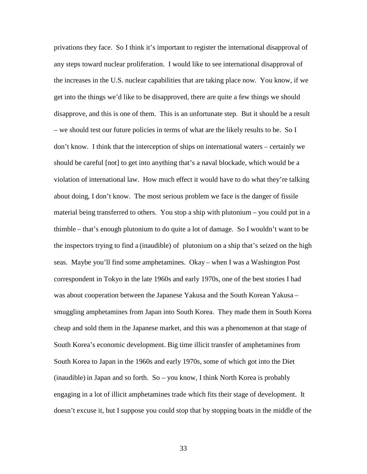privations they face. So I think it's important to register the international disapproval of any steps toward nuclear proliferation. I would like to see international disapproval of the increases in the U.S. nuclear capabilities that are taking place now. You know, if we get into the things we'd like to be disapproved, there are quite a few things we should disapprove, and this is one of them. This is an unfortunate step. But it should be a result – we should test our future policies in terms of what are the likely results to be. So I don't know. I think that the interception of ships on international waters – certainly we should be careful [not] to get into anything that's a naval blockade, which would be a violation of international law. How much effect it would have to do what they're talking about doing, I don't know. The most serious problem we face is the danger of fissile material being transferred to others. You stop a ship with plutonium – you could put in a thimble – that's enough plutonium to do quite a lot of damage. So I wouldn't want to be the inspectors trying to find a (inaudible) of plutonium on a ship that's seized on the high seas. Maybe you'll find some amphetamines. Okay – when I was a Washington Post correspondent in Tokyo in the late 1960s and early 1970s, one of the best stories I had was about cooperation between the Japanese Yakusa and the South Korean Yakusa – smuggling amphetamines from Japan into South Korea. They made them in South Korea cheap and sold them in the Japanese market, and this was a phenomenon at that stage of South Korea's economic development. Big time illicit transfer of amphetamines from South Korea to Japan in the 1960s and early 1970s, some of which got into the Diet (inaudible) in Japan and so forth. So – you know, I think North Korea is probably engaging in a lot of illicit amphetamines trade which fits their stage of development. It doesn't excuse it, but I suppose you could stop that by stopping boats in the middle of the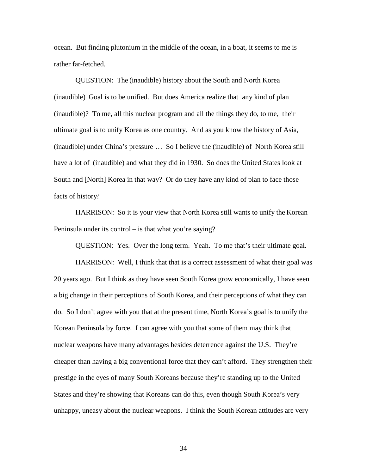ocean. But finding plutonium in the middle of the ocean, in a boat, it seems to me is rather far-fetched.

QUESTION: The (inaudible) history about the South and North Korea (inaudible) Goal is to be unified. But does America realize that any kind of plan (inaudible)? To me, all this nuclear program and all the things they do, to me, their ultimate goal is to unify Korea as one country. And as you know the history of Asia, (inaudible) under China's pressure … So I believe the (inaudible) of North Korea still have a lot of (inaudible) and what they did in 1930. So does the United States look at South and [North] Korea in that way? Or do they have any kind of plan to face those facts of history?

HARRISON: So it is your view that North Korea still wants to unify the Korean Peninsula under its control – is that what you're saying?

QUESTION: Yes. Over the long term. Yeah. To me that's their ultimate goal.

HARRISON: Well, I think that that is a correct assessment of what their goal was 20 years ago. But I think as they have seen South Korea grow economically, I have seen a big change in their perceptions of South Korea, and their perceptions of what they can do. So I don't agree with you that at the present time, North Korea's goal is to unify the Korean Peninsula by force. I can agree with you that some of them may think that nuclear weapons have many advantages besides deterrence against the U.S. They're cheaper than having a big conventional force that they can't afford. They strengthen their prestige in the eyes of many South Koreans because they're standing up to the United States and they're showing that Koreans can do this, even though South Korea's very unhappy, uneasy about the nuclear weapons. I think the South Korean attitudes are very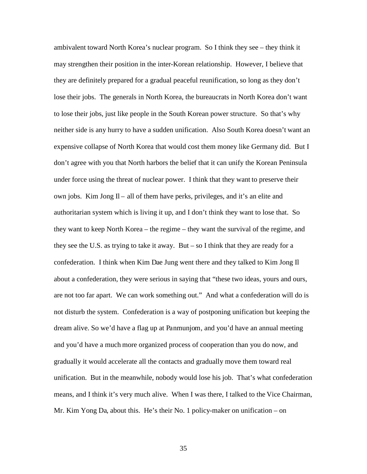ambivalent toward North Korea's nuclear program. So I think they see – they think it may strengthen their position in the inter-Korean relationship. However, I believe that they are definitely prepared for a gradual peaceful reunification, so long as they don't lose their jobs. The generals in North Korea, the bureaucrats in North Korea don't want to lose their jobs, just like people in the South Korean power structure. So that's why neither side is any hurry to have a sudden unification. Also South Korea doesn't want an expensive collapse of North Korea that would cost them money like Germany did. But I don't agree with you that North harbors the belief that it can unify the Korean Peninsula under force using the threat of nuclear power. I think that they want to preserve their own jobs. Kim Jong  $II - all$  of them have perks, privileges, and it's an elite and authoritarian system which is living it up, and I don't think they want to lose that. So they want to keep North Korea – the regime – they want the survival of the regime, and they see the U.S. as trying to take it away. But – so I think that they are ready for a confederation. I think when Kim Dae Jung went there and they talked to Kim Jong Il about a confederation, they were serious in saying that "these two ideas, yours and ours, are not too far apart. We can work something out." And what a confederation will do is not disturb the system. Confederation is a way of postponing unification but keeping the dream alive. So we'd have a flag up at Panmunjom, and you'd have an annual meeting and you'd have a much more organized process of cooperation than you do now, and gradually it would accelerate all the contacts and gradually move them toward real unification. But in the meanwhile, nobody would lose his job. That's what confederation means, and I think it's very much alive. When I was there, I talked to the Vice Chairman, Mr. Kim Yong Da, about this. He's their No. 1 policy-maker on unification – on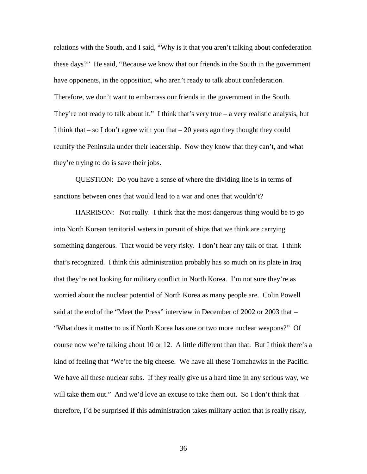relations with the South, and I said, "Why is it that you aren't talking about confederation these days?" He said, "Because we know that our friends in the South in the government have opponents, in the opposition, who aren't ready to talk about confederation. Therefore, we don't want to embarrass our friends in the government in the South. They're not ready to talk about it." I think that's very true  $-$  a very realistic analysis, but I think that  $-$  so I don't agree with you that  $-20$  years ago they thought they could reunify the Peninsula under their leadership. Now they know that they can't, and what they're trying to do is save their jobs.

QUESTION: Do you have a sense of where the dividing line is in terms of sanctions between ones that would lead to a war and ones that wouldn't?

HARRISON: Not really. I think that the most dangerous thing would be to go into North Korean territorial waters in pursuit of ships that we think are carrying something dangerous. That would be very risky. I don't hear any talk of that. I think that's recognized. I think this administration probably has so much on its plate in Iraq that they're not looking for military conflict in North Korea. I'm not sure they're as worried about the nuclear potential of North Korea as many people are. Colin Powell said at the end of the "Meet the Press" interview in December of 2002 or 2003 that – "What does it matter to us if North Korea has one or two more nuclear weapons?" Of course now we're talking about 10 or 12. A little different than that. But I think there's a kind of feeling that "We're the big cheese. We have all these Tomahawks in the Pacific. We have all these nuclear subs. If they really give us a hard time in any serious way, we will take them out." And we'd love an excuse to take them out. So I don't think that – therefore, I'd be surprised if this administration takes military action that is really risky,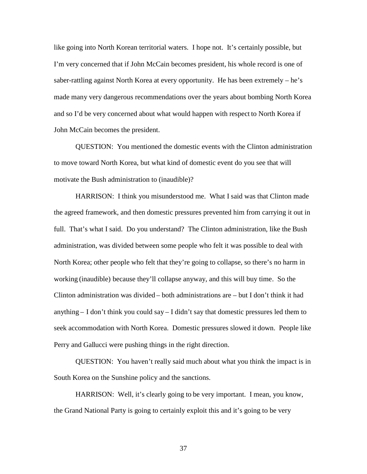like going into North Korean territorial waters. I hope not. It's certainly possible, but I'm very concerned that if John McCain becomes president, his whole record is one of saber-rattling against North Korea at every opportunity. He has been extremely – he's made many very dangerous recommendations over the years about bombing North Korea and so I'd be very concerned about what would happen with respect to North Korea if John McCain becomes the president.

QUESTION: You mentioned the domestic events with the Clinton administration to move toward North Korea, but what kind of domestic event do you see that will motivate the Bush administration to (inaudible)?

HARRISON: I think you misunderstood me. What I said was that Clinton made the agreed framework, and then domestic pressures prevented him from carrying it out in full. That's what I said. Do you understand? The Clinton administration, like the Bush administration, was divided between some people who felt it was possible to deal with North Korea; other people who felt that they're going to collapse, so there's no harm in working (inaudible) because they'll collapse anyway, and this will buy time. So the Clinton administration was divided – both administrations are – but I don't think it had anything – I don't think you could say – I didn't say that domestic pressures led them to seek accommodation with North Korea. Domestic pressures slowed it down. People like Perry and Gallucci were pushing things in the right direction.

QUESTION: You haven't really said much about what you think the impact is in South Korea on the Sunshine policy and the sanctions.

HARRISON: Well, it's clearly going to be very important. I mean, you know, the Grand National Party is going to certainly exploit this and it's going to be very